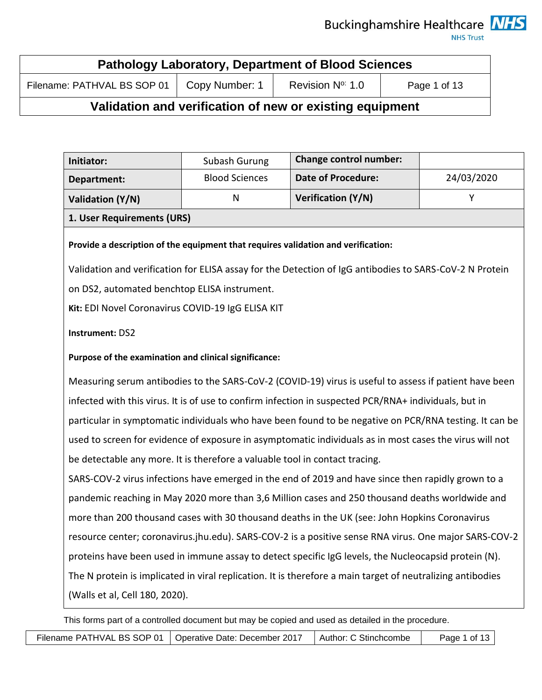**NHS Trust** 

| <b>Pathology Laboratory, Department of Blood Sciences</b>                                 |  |  |  |  |
|-------------------------------------------------------------------------------------------|--|--|--|--|
| Filename: PATHVAL BS SOP 01<br>Revision $N^{\circ}$ 1.0<br>Copy Number: 1<br>Page 1 of 13 |  |  |  |  |

## **Validation and verification of new or existing equipment**

| Initiator:                 | Subash Gurung         | <b>Change control number:</b> |            |
|----------------------------|-----------------------|-------------------------------|------------|
| Department:                | <b>Blood Sciences</b> | <b>Date of Procedure:</b>     | 24/03/2020 |
| Validation (Y/N)           | N                     | Verification (Y/N)            |            |
| 1. User Requirements (URS) |                       |                               |            |

### **Provide a description of the equipment that requires validation and verification:**

Validation and verification for ELISA assay for the Detection of IgG antibodies to SARS-CoV-2 N Protein on DS2, automated benchtop ELISA instrument.

**Kit:** EDI Novel Coronavirus COVID-19 IgG ELISA KIT

### **Instrument:** DS2

### **Purpose of the examination and clinical significance:**

Measuring serum antibodies to the SARS-CoV-2 (COVID-19) virus is useful to assess if patient have been infected with this virus. It is of use to confirm infection in suspected PCR/RNA+ individuals, but in particular in symptomatic individuals who have been found to be negative on PCR/RNA testing. It can be used to screen for evidence of exposure in asymptomatic individuals as in most cases the virus will not be detectable any more. It is therefore a valuable tool in contact tracing.

SARS-COV-2 virus infections have emerged in the end of 2019 and have since then rapidly grown to a pandemic reaching in May 2020 more than 3,6 Million cases and 250 thousand deaths worldwide and more than 200 thousand cases with 30 thousand deaths in the UK (see: John Hopkins Coronavirus resource center; coronavirus.jhu.edu). SARS-COV-2 is a positive sense RNA virus. One major SARS-COV-2 proteins have been used in immune assay to detect specific IgG levels, the Nucleocapsid protein (N). The N protein is implicated in viral replication. It is therefore a main target of neutralizing antibodies (Walls et al, Cell 180, 2020).

This forms part of a controlled document but may be copied and used as detailed in the procedure.

Filename PATHVAL BS SOP 01 | Operative Date: December 2017 | Author: C Stinchcombe | Page 1 of 13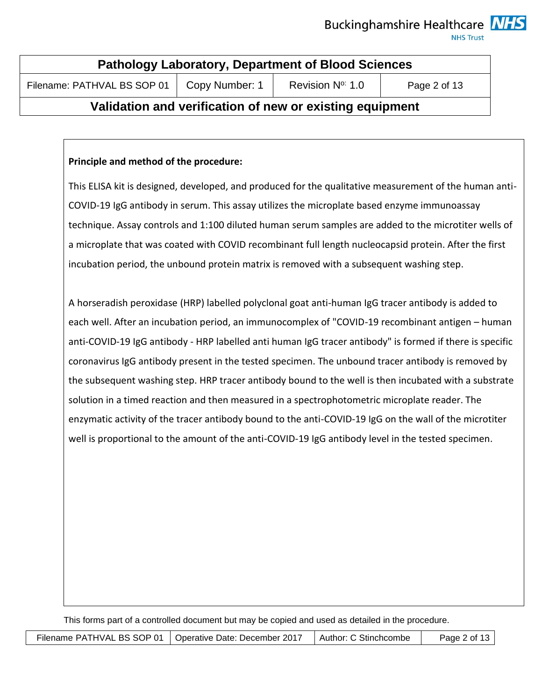**NHS Trust** 

| <b>Pathology Laboratory, Department of Blood Sciences</b>                                     |  |  |  |  |
|-----------------------------------------------------------------------------------------------|--|--|--|--|
| Revision N <sup>o:</sup> 1.0<br>Filename: PATHVAL BS SOP 01<br>Copy Number: 1<br>Page 2 of 13 |  |  |  |  |

# **Validation and verification of new or existing equipment**

### **Principle and method of the procedure:**

This ELISA kit is designed, developed, and produced for the qualitative measurement of the human anti-COVID-19 IgG antibody in serum. This assay utilizes the microplate based enzyme immunoassay technique. Assay controls and 1:100 diluted human serum samples are added to the microtiter wells of a microplate that was coated with COVID recombinant full length nucleocapsid protein. After the first incubation period, the unbound protein matrix is removed with a subsequent washing step.

A horseradish peroxidase (HRP) labelled polyclonal goat anti-human IgG tracer antibody is added to each well. After an incubation period, an immunocomplex of "COVID-19 recombinant antigen – human anti-COVID-19 IgG antibody - HRP labelled anti human IgG tracer antibody" is formed if there is specific coronavirus IgG antibody present in the tested specimen. The unbound tracer antibody is removed by the subsequent washing step. HRP tracer antibody bound to the well is then incubated with a substrate solution in a timed reaction and then measured in a spectrophotometric microplate reader. The enzymatic activity of the tracer antibody bound to the anti-COVID-19 IgG on the wall of the microtiter well is proportional to the amount of the anti-COVID-19 IgG antibody level in the tested specimen.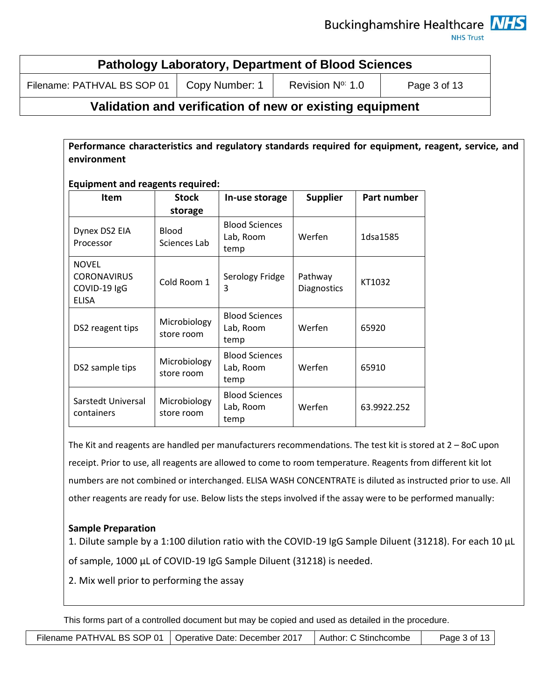**NHS Trust** 

| <b>Pathology Laboratory, Department of Blood Sciences</b>                                     |  |  |  |  |
|-----------------------------------------------------------------------------------------------|--|--|--|--|
| Filename: PATHVAL BS SOP 01<br>Revision N <sup>o:</sup> 1.0<br>Page 3 of 13<br>Copy Number: 1 |  |  |  |  |

## **Validation and verification of new or existing equipment**

**Performance characteristics and regulatory standards required for equipment, reagent, service, and environment**

**Equipment and reagents required:**

| <b>Item</b>                                                        | <b>Stock</b>                 | In-use storage                             | <b>Supplier</b>               | Part number |
|--------------------------------------------------------------------|------------------------------|--------------------------------------------|-------------------------------|-------------|
|                                                                    | storage                      |                                            |                               |             |
| Dynex DS2 EIA<br>Processor                                         | <b>Blood</b><br>Sciences Lab | <b>Blood Sciences</b><br>Lab, Room<br>temp | Werfen                        | 1dsa1585    |
| <b>NOVEL</b><br><b>CORONAVIRUS</b><br>COVID-19 IgG<br><b>ELISA</b> | Cold Room 1                  | Serology Fridge<br>3                       | Pathway<br><b>Diagnostics</b> | KT1032      |
| DS2 reagent tips                                                   | Microbiology<br>store room   | <b>Blood Sciences</b><br>Lab, Room<br>temp | Werfen                        | 65920       |
| DS2 sample tips                                                    | Microbiology<br>store room   | <b>Blood Sciences</b><br>Lab, Room<br>temp | Werfen                        | 65910       |
| Sarstedt Universal<br>containers                                   | Microbiology<br>store room   | <b>Blood Sciences</b><br>Lab, Room<br>temp | Werfen                        | 63.9922.252 |

The Kit and reagents are handled per manufacturers recommendations. The test kit is stored at 2 – 8oC upon receipt. Prior to use, all reagents are allowed to come to room temperature. Reagents from different kit lot numbers are not combined or interchanged. ELISA WASH CONCENTRATE is diluted as instructed prior to use. All other reagents are ready for use. Below lists the steps involved if the assay were to be performed manually:

## **Sample Preparation**

1. Dilute sample by a 1:100 dilution ratio with the COVID-19 IgG Sample Diluent (31218). For each 10 μL of sample, 1000 μL of COVID-19 IgG Sample Diluent (31218) is needed.

2. Mix well prior to performing the assay

| Filename PATHVAL BS SOP 01 | I Operative Date: December 2017 | Author: C Stinchcombe | Page $3$ of $13$ |
|----------------------------|---------------------------------|-----------------------|------------------|
|----------------------------|---------------------------------|-----------------------|------------------|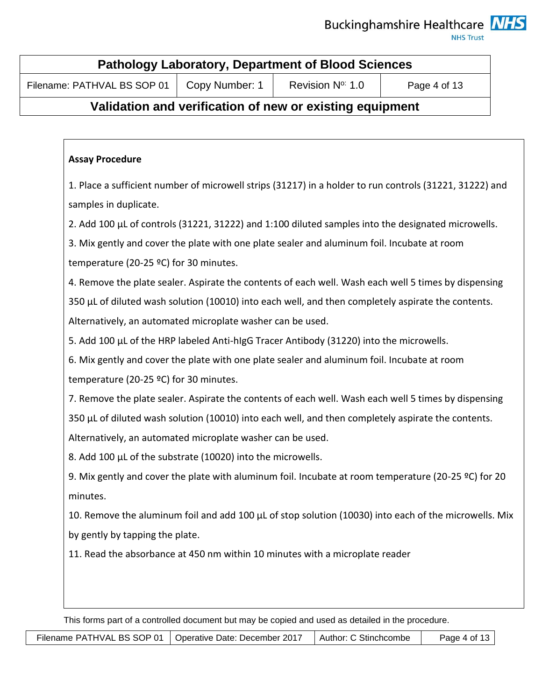**NHS Trust** 

| <b>Pathology Laboratory, Department of Blood Sciences</b>                                     |  |  |  |  |
|-----------------------------------------------------------------------------------------------|--|--|--|--|
| Revision N <sup>o:</sup> 1.0<br>Copy Number: 1<br>Filename: PATHVAL BS SOP 01<br>Page 4 of 13 |  |  |  |  |

# **Validation and verification of new or existing equipment**

### **Assay Procedure**

1. Place a sufficient number of microwell strips (31217) in a holder to run controls (31221, 31222) and samples in duplicate.

2. Add 100 µL of controls (31221, 31222) and 1:100 diluted samples into the designated microwells.

3. Mix gently and cover the plate with one plate sealer and aluminum foil. Incubate at room

temperature (20-25 ºC) for 30 minutes.

4. Remove the plate sealer. Aspirate the contents of each well. Wash each well 5 times by dispensing 350 µL of diluted wash solution (10010) into each well, and then completely aspirate the contents.

Alternatively, an automated microplate washer can be used.

5. Add 100 µL of the HRP labeled Anti-hIgG Tracer Antibody (31220) into the microwells.

6. Mix gently and cover the plate with one plate sealer and aluminum foil. Incubate at room

temperature (20-25 ºC) for 30 minutes.

7. Remove the plate sealer. Aspirate the contents of each well. Wash each well 5 times by dispensing 350 µL of diluted wash solution (10010) into each well, and then completely aspirate the contents.

Alternatively, an automated microplate washer can be used.

8. Add 100 µL of the substrate (10020) into the microwells.

9. Mix gently and cover the plate with aluminum foil. Incubate at room temperature (20-25 °C) for 20 minutes.

10. Remove the aluminum foil and add 100 µL of stop solution (10030) into each of the microwells. Mix by gently by tapping the plate.

11. Read the absorbance at 450 nm within 10 minutes with a microplate reader

|  | Filename PATHVAL BS SOP 01   Operative Date: December 2017 | Author: C Stinchcombe | Page 4 of 13 $\vert$ |
|--|------------------------------------------------------------|-----------------------|----------------------|
|--|------------------------------------------------------------|-----------------------|----------------------|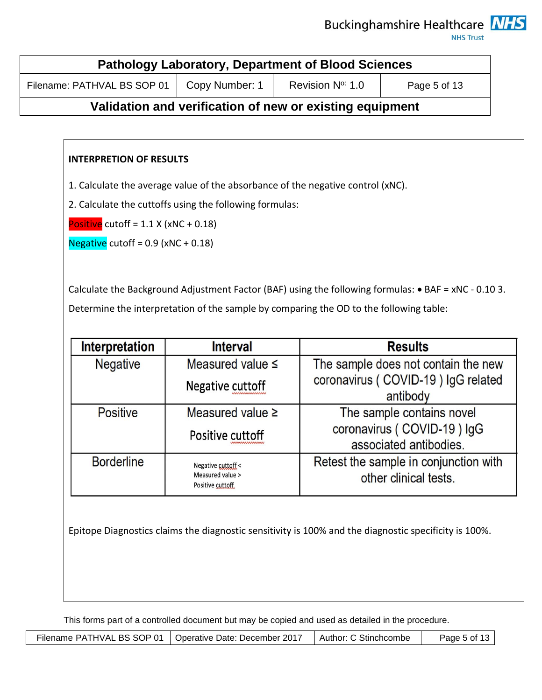**NHS Trust** 

| <b>Pathology Laboratory, Department of Blood Sciences</b>                        |  |  |  |  |
|----------------------------------------------------------------------------------|--|--|--|--|
| Copy Number: 1<br>Revision N° 1.0<br>Filename: PATHVAL BS SOP 01<br>Page 5 of 13 |  |  |  |  |

# **Validation and verification of new or existing equipment**

### **INTERPRETION OF RESULTS**

1. Calculate the average value of the absorbance of the negative control (xNC).

2. Calculate the cuttoffs using the following formulas:

Positive cutoff =  $1.1$  X (xNC + 0.18)

Negative cutoff =  $0.9$  (xNC +  $0.18$ )

Calculate the Background Adjustment Factor (BAF) using the following formulas: • BAF = xNC - 0.10 3. Determine the interpretation of the sample by comparing the OD to the following table:

| <b>Interpretation</b> | <b>Interval</b>                      | <b>Results</b>                        |
|-----------------------|--------------------------------------|---------------------------------------|
| <b>Negative</b>       | Measured value $\leq$                | The sample does not contain the new   |
|                       | Negative cuttoff                     | coronavirus (COVID-19) IgG related    |
|                       |                                      | antibody                              |
| <b>Positive</b>       | Measured value $\geq$                | The sample contains novel             |
|                       | Positive cuttoff                     | coronavirus (COVID-19) IgG            |
|                       |                                      | associated antibodies.                |
| <b>Borderline</b>     | Negative cuttoff <                   | Retest the sample in conjunction with |
|                       | Measured value ><br>Positive cuttoff | other clinical tests.                 |

Epitope Diagnostics claims the diagnostic sensitivity is 100% and the diagnostic specificity is 100%.

|  | Filename PATHVAL BS SOP 01   Operative Date: December 2017 | l Author: C Stinchcombe | Page 5 of 13 $\vert$ |
|--|------------------------------------------------------------|-------------------------|----------------------|
|--|------------------------------------------------------------|-------------------------|----------------------|

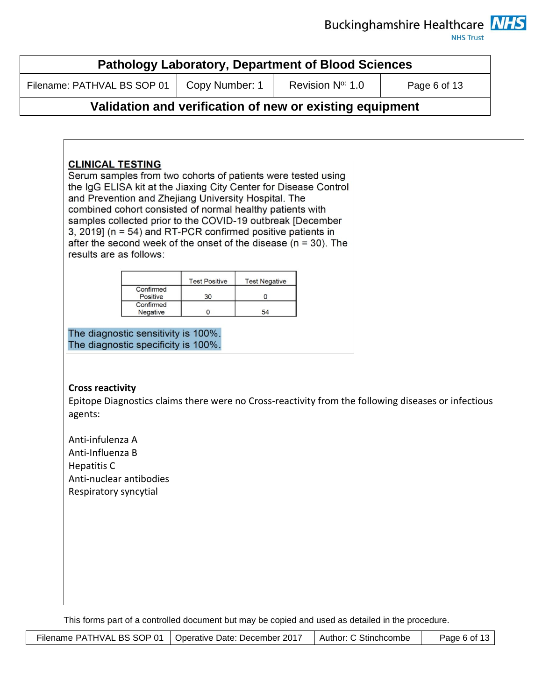**NHS Trust** 

|                                                                                                                | Filename: PATHVAL BS SOP 01                                                                                                                                                          |                                 |                                 | Revision N° 1.0                                                                                                                                                                                                                                                       | Page 6 of 13 |
|----------------------------------------------------------------------------------------------------------------|--------------------------------------------------------------------------------------------------------------------------------------------------------------------------------------|---------------------------------|---------------------------------|-----------------------------------------------------------------------------------------------------------------------------------------------------------------------------------------------------------------------------------------------------------------------|--------------|
|                                                                                                                |                                                                                                                                                                                      |                                 |                                 | Validation and verification of new or existing equipment                                                                                                                                                                                                              |              |
| <b>CLINICAL TESTING</b><br>results are as follows:                                                             | and Prevention and Zhejiang University Hospital. The<br>combined cohort consisted of normal healthy patients with<br>3, 2019] ( $n = 54$ ) and RT-PCR confirmed positive patients in |                                 |                                 | Serum samples from two cohorts of patients were tested using<br>the IgG ELISA kit at the Jiaxing City Center for Disease Control<br>samples collected prior to the COVID-19 outbreak [December<br>after the second week of the onset of the disease ( $n = 30$ ). The |              |
|                                                                                                                | Confirmed<br>Positive<br>Confirmed<br>Negative                                                                                                                                       | <b>Test Positive</b><br>30<br>0 | <b>Test Negative</b><br>0<br>54 |                                                                                                                                                                                                                                                                       |              |
|                                                                                                                | The diagnostic sensitivity is 100%.<br>The diagnostic specificity is 100%.                                                                                                           |                                 |                                 |                                                                                                                                                                                                                                                                       |              |
| <b>Cross reactivity</b><br>agents:                                                                             |                                                                                                                                                                                      |                                 |                                 | Epitope Diagnostics claims there were no Cross-reactivity from the following diseases or infectious                                                                                                                                                                   |              |
| Anti-infulenza A<br>Anti-Influenza B<br><b>Hepatitis C</b><br>Anti-nuclear antibodies<br>Respiratory syncytial |                                                                                                                                                                                      |                                 |                                 |                                                                                                                                                                                                                                                                       |              |
|                                                                                                                |                                                                                                                                                                                      |                                 |                                 |                                                                                                                                                                                                                                                                       |              |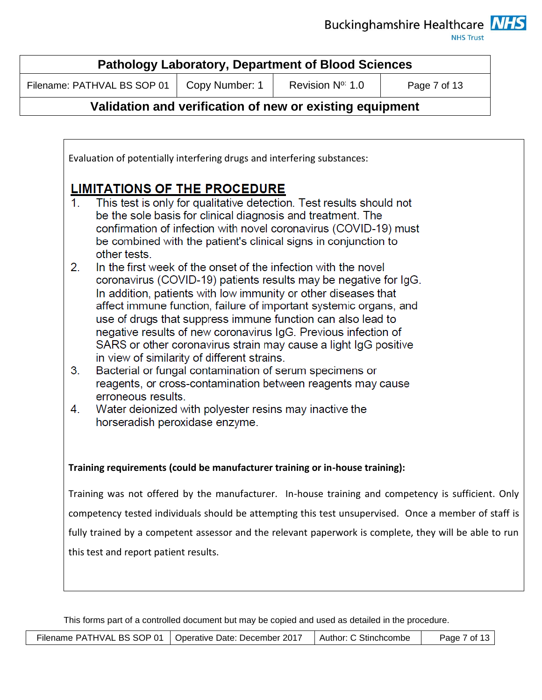**NHS Trust** 

| <b>Pathology Laboratory, Department of Blood Sciences</b> |                |                              |              |  |  |  |  |  |
|-----------------------------------------------------------|----------------|------------------------------|--------------|--|--|--|--|--|
| Filename: PATHVAL BS SOP 01                               | Copy Number: 1 | Revision N <sup>o:</sup> 1.0 | Page 7 of 13 |  |  |  |  |  |
|                                                           |                |                              |              |  |  |  |  |  |

## **Validation and verification of new or existing equipment**

Evaluation of potentially interfering drugs and interfering substances:

# **LIMITATIONS OF THE PROCEDURE**

- This test is only for qualitative detection. Test results should not  $\mathbf{1}$ be the sole basis for clinical diagnosis and treatment. The confirmation of infection with novel coronavirus (COVID-19) must be combined with the patient's clinical signs in conjunction to other tests.
- $2.$ In the first week of the onset of the infection with the novel coronavirus (COVID-19) patients results may be negative for IgG. In addition, patients with low immunity or other diseases that affect immune function, failure of important systemic organs, and use of drugs that suppress immune function can also lead to negative results of new coronavirus IgG. Previous infection of SARS or other coronavirus strain may cause a light IgG positive in view of similarity of different strains.
- Bacterial or fungal contamination of serum specimens or  $3<sub>1</sub>$ reagents, or cross-contamination between reagents may cause erroneous results.
- 4. Water deionized with polyester resins may inactive the horseradish peroxidase enzyme.

## **Training requirements (could be manufacturer training or in-house training):**

Training was not offered by the manufacturer. In-house training and competency is sufficient. Only competency tested individuals should be attempting this test unsupervised. Once a member of staff is fully trained by a competent assessor and the relevant paperwork is complete, they will be able to run this test and report patient results.

| Filename PATHVAL BS SOP 01 | Operative Date: December 2017 | Author: C Stinchcombe | Page 7 of 13 l |
|----------------------------|-------------------------------|-----------------------|----------------|
|----------------------------|-------------------------------|-----------------------|----------------|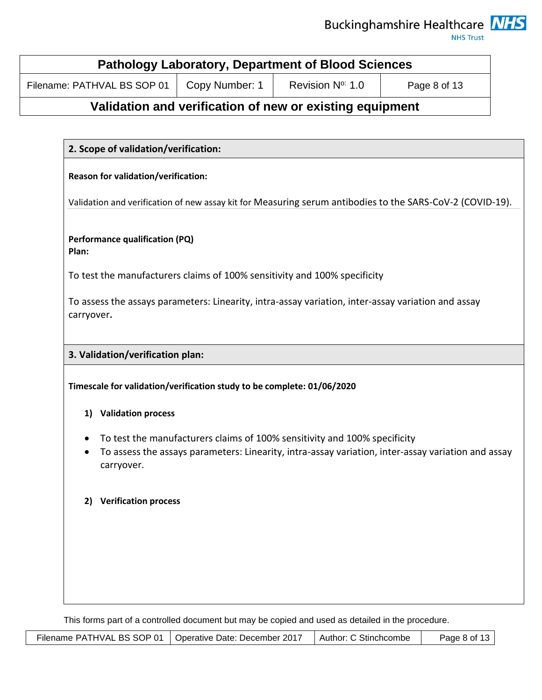**NHS Trust** 

| <b>Pathology Laboratory, Department of Blood Sciences</b> |                |                              |              |  |  |  |  |
|-----------------------------------------------------------|----------------|------------------------------|--------------|--|--|--|--|
| Filename: PATHVAL BS SOP 01                               | Copy Number: 1 | Revision N <sup>o:</sup> 1.0 | Page 8 of 13 |  |  |  |  |

# **Validation and verification of new or existing equipment**

## **2. Scope of validation/verification:**

#### **Reason for validation/verification:**

Validation and verification of new assay kit for Measuring serum antibodies to the SARS-CoV-2 (COVID-19).

#### **Performance qualification (PQ) Plan:**

To test the manufacturers claims of 100% sensitivity and 100% specificity

To assess the assays parameters: Linearity, intra-assay variation, inter-assay variation and assay carryover**.** 

### **3. Validation/verification plan:**

**Timescale for validation/verification study to be complete: 01/06/2020**

- **1) Validation process**
- To test the manufacturers claims of 100% sensitivity and 100% specificity
- To assess the assays parameters: Linearity, intra-assay variation, inter-assay variation and assay carryover.

#### **2) Verification process**

|  | Filename PATHVAL BS SOP 01   Operative Date: December 2017 | Author: C Stinchcombe | Page 8 of 13 $\parallel$ |  |
|--|------------------------------------------------------------|-----------------------|--------------------------|--|
|--|------------------------------------------------------------|-----------------------|--------------------------|--|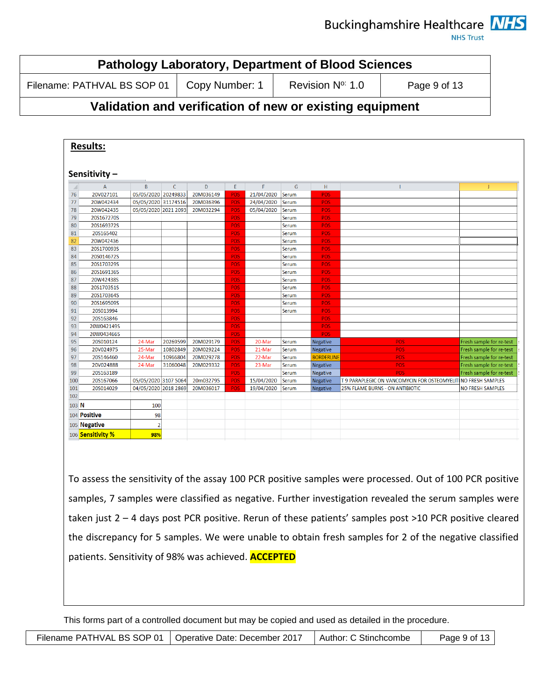**NHS Trust** 

| <b>Pathology Laboratory, Department of Blood Sciences</b> |                |                          |              |  |  |  |  |  |
|-----------------------------------------------------------|----------------|--------------------------|--------------|--|--|--|--|--|
| Filename: PATHVAL BS SOP 01                               | Copy Number: 1 | Revision $N^{\circ}$ 1.0 | Page 9 of 13 |  |  |  |  |  |

# **Validation and verification of new or existing equipment**

| $\mathcal{A}$ | $\mathsf{A}$      | B                    | $\mathsf{C}$ | D         | E.         | F          | G     | H                 | T                                                             | J.                       |
|---------------|-------------------|----------------------|--------------|-----------|------------|------------|-------|-------------------|---------------------------------------------------------------|--------------------------|
| 76            | 20V027101         | 05/05/2020 20249833  |              | 20M036149 | POS        | 21/04/2020 | Serum | <b>POS</b>        |                                                               |                          |
| 77            | 20W042434         | 05/05/2020 31174516  |              | 20M036396 | <b>POS</b> | 24/04/2020 | Serum | POS               |                                                               |                          |
| 78            | 20W042435         | 05/05/2020 2021 2093 |              | 20M032294 | POS        | 05/04/2020 | Serum | <b>POS</b>        |                                                               |                          |
| 79            | 20S167270S        |                      |              |           | <b>POS</b> |            | Serum | POS               |                                                               |                          |
| 80            | 20S169372S        |                      |              |           | <b>POS</b> |            | Serum | POS               |                                                               |                          |
| 81            | 20S165402         |                      |              |           | <b>POS</b> |            | Serum | POS               |                                                               |                          |
| 82            | 20W042436         |                      |              |           | <b>POS</b> |            | Serum | <b>POS</b>        |                                                               |                          |
| 83            | 20S170093S        |                      |              |           | POS        |            | Serum | POS:              |                                                               |                          |
| 84            | 20S014672S        |                      |              |           | <b>POS</b> |            | Serum | <b>POS</b>        |                                                               |                          |
| 85            | 20S170329S        |                      |              |           | POS        |            | Serum | <b>POS</b>        |                                                               |                          |
| 86            | 20S169136S        |                      |              |           | POS        |            | Serum | <b>POS</b>        |                                                               |                          |
|               | 20W42438S         |                      |              |           | POS        |            | Serum | POS               |                                                               |                          |
| 88            | 20S170351S        |                      |              |           | POS        |            | Serum | <b>POS</b>        |                                                               |                          |
| 89            | 20S170364S        |                      |              |           | <b>POS</b> |            | Serum | POS               |                                                               |                          |
| 90            | 20S169509S        |                      |              |           | <b>POS</b> |            | Serum | <b>POS</b>        |                                                               |                          |
| 91            | 20S013994         |                      |              |           | POS        |            | Serum | POS               |                                                               |                          |
| 92            | 20S163846         |                      |              |           | POS        |            |       | <b>POS</b>        |                                                               |                          |
| 93            | 20W042149S        |                      |              |           | <b>POS</b> |            |       | <b>POS</b>        |                                                               |                          |
|               | 20W043466S        |                      |              |           | POS        |            |       | POS               |                                                               |                          |
|               | 20S010124         | 24-Mar               | 20269599     | 20M029179 | POS        | 20-Mar     | Serum | Negative          | <b>POS</b>                                                    | Fresh sample for re-test |
|               | 20V024975         | 25-Mar               | 10802849     | 20M029224 | <b>POS</b> | 21-Mar     | Serum | Negative          | <b>POS</b>                                                    | Fresh sample for re-test |
|               | 20S146460         | 24-Mar               | 10966804     | 20M029278 | <b>POS</b> | 22-Mar     | Serum | <b>BORDERLINE</b> | POS:                                                          | Fresh sample for re-test |
|               | 20V024888         | 24-Mar               | 31060048     | 20M029332 | POS        | 23-Mar     | Serum | Negative          | <b>POS</b>                                                    | Fresh sample for re-test |
|               | 20S163189         |                      |              |           | <b>POS</b> |            | Serum | Negative          | <b>POS</b>                                                    | Fresh sample for re-test |
| 100           | 20S167066         | 05/05/2020 3107 5064 |              | 20m032795 | <b>POS</b> | 15/04/2020 | Serum | Negative          | T 9 PARAPLEGIC ON VANCOMYCIN FOR OSTEOMYELITINO FRESH SAMPLES |                          |
| 101           | 20S014029         | 04/05/2020 2018 2869 |              | 20M036017 | <b>POS</b> | 19/04/2020 | Serum | <b>Negative</b>   | <b>25% FLAME BURNS - ON ANTIBIOTIC</b>                        | <b>NO FRESH SAMPLES</b>  |
| 102           |                   |                      |              |           |            |            |       |                   |                                                               |                          |
| 103 N         |                   | 100                  |              |           |            |            |       |                   |                                                               |                          |
|               | 104 Positive      | 98                   |              |           |            |            |       |                   |                                                               |                          |
|               | 105 Negative      | $\overline{2}$       |              |           |            |            |       |                   |                                                               |                          |
|               | 106 Sensitivity % | 98%                  |              |           |            |            |       |                   |                                                               |                          |

To assess the sensitivity of the assay 100 PCR positive samples were processed. Out of 100 PCR positive samples, 7 samples were classified as negative. Further investigation revealed the serum samples were taken just 2 – 4 days post PCR positive. Rerun of these patients' samples post >10 PCR positive cleared the discrepancy for 5 samples. We were unable to obtain fresh samples for 2 of the negative classified patients. Sensitivity of 98% was achieved. **ACCEPTED**

|  | Filename PATHVAL BS SOP 01   Operative Date: December 2017 | Author: C Stinchcombe | Page 9 of 13 $\vert$ |
|--|------------------------------------------------------------|-----------------------|----------------------|
|--|------------------------------------------------------------|-----------------------|----------------------|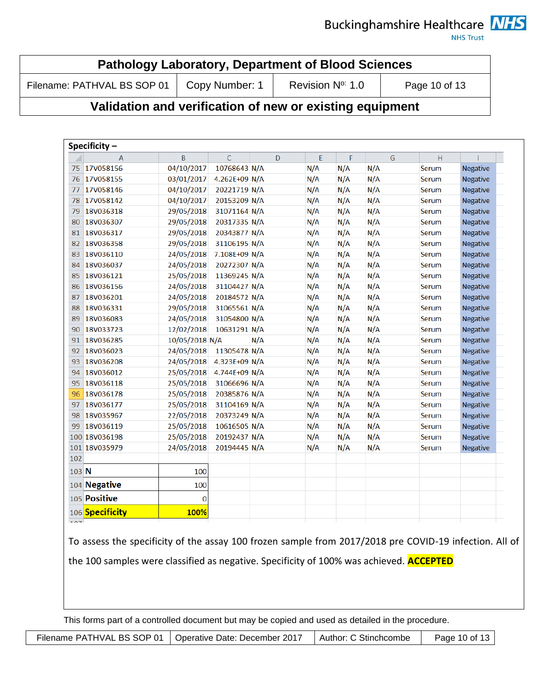**NHS Trust** 

| <b>Pathology Laboratory, Department of Blood Sciences</b> |  |                 |               |  |  |  |  |  |
|-----------------------------------------------------------|--|-----------------|---------------|--|--|--|--|--|
| Filename: PATHVAL BS SOP 01   Copy Number: 1              |  | Revision N° 1.0 | Page 10 of 13 |  |  |  |  |  |

## **Validation and verification of new or existing equipment**

|       | Specificity $-$  |                |               |     |   |     |     |     |       |                 |
|-------|------------------|----------------|---------------|-----|---|-----|-----|-----|-------|-----------------|
|       | $\overline{A}$   | B              | $\mathsf{C}$  |     | D | E   | F   | G   | H     |                 |
| 75    | 17V058156        | 04/10/2017     | 10768643 N/A  |     |   | N/A | N/A | N/A | Serum | <b>Negative</b> |
| 76    | 17V058155        | 03/01/2017     | 4.262E+09 N/A |     |   | N/A | N/A | N/A | Serum | <b>Negative</b> |
| 77    | 17V058146        | 04/10/2017     | 20221719 N/A  |     |   | N/A | N/A | N/A | Serum | <b>Negative</b> |
| 78    | 17V058142        | 04/10/2017     | 20153209 N/A  |     |   | N/A | N/A | N/A | Serum | <b>Negative</b> |
| 79    | 18V036318        | 29/05/2018     | 31071164 N/A  |     |   | N/A | N/A | N/A | Serum | <b>Negative</b> |
| 80    | 18V036307        | 29/05/2018     | 20317335 N/A  |     |   | N/A | N/A | N/A | Serum | <b>Negative</b> |
| 81    | <b>18V036317</b> | 29/05/2018     | 20343877 N/A  |     |   | N/A | N/A | N/A | Serum | <b>Negative</b> |
| 82    | 18V036358        | 29/05/2018     | 31106195 N/A  |     |   | N/A | N/A | N/A | Serum | <b>Negative</b> |
| 83    | 18V036110        | 24/05/2018     | 7.108E+09 N/A |     |   | N/A | N/A | N/A | Serum | <b>Negative</b> |
| 84    | 18V036037        | 24/05/2018     | 20272307 N/A  |     |   | N/A | N/A | N/A | Serum | <b>Negative</b> |
| 85    | 18V036121        | 25/05/2018     | 11369245 N/A  |     |   | N/A | N/A | N/A | Serum | <b>Negative</b> |
| 86    | 18V036156        | 24/05/2018     | 31104427 N/A  |     |   | N/A | N/A | N/A | Serum | <b>Negative</b> |
| 87    | 18V036201        | 24/05/2018     | 20184572 N/A  |     |   | N/A | N/A | N/A | Serum | <b>Negative</b> |
| 88    | 18V036331        | 29/05/2018     | 31065561 N/A  |     |   | N/A | N/A | N/A | Serum | <b>Negative</b> |
| 89    | 18V036083        | 24/05/2018     | 31054800 N/A  |     |   | N/A | N/A | N/A | Serum | <b>Negative</b> |
| 90    | 18V033723        | 12/02/2018     | 10631291 N/A  |     |   | N/A | N/A | N/A | Serum | <b>Negative</b> |
| 91    | 18V036285        | 10/05/2018 N/A |               | N/A |   | N/A | N/A | N/A | Serum | <b>Negative</b> |
| 92    | 18V036023        | 24/05/2018     | 11305478 N/A  |     |   | N/A | N/A | N/A | Serum | <b>Negative</b> |
| 93    | 18V036208        | 24/05/2018     | 4.323E+09 N/A |     |   | N/A | N/A | N/A | Serum | <b>Negative</b> |
| 94    | 18V036012        | 25/05/2018     | 4.744E+09 N/A |     |   | N/A | N/A | N/A | Serum | <b>Negative</b> |
| 95    | 18V036118        | 25/05/2018     | 31066696 N/A  |     |   | N/A | N/A | N/A | Serum | <b>Negative</b> |
| 96    | 18V036178        | 25/05/2018     | 20385876 N/A  |     |   | N/A | N/A | N/A | Serum | Negative        |
| 97    | 18V036177        | 25/05/2018     | 31104169 N/A  |     |   | N/A | N/A | N/A | Serum | Negative        |
| 98    | 18V035967        | 22/05/2018     | 20373249 N/A  |     |   | N/A | N/A | N/A | Serum | <b>Negative</b> |
| 99    | 18V036119        | 25/05/2018     | 10616505 N/A  |     |   | N/A | N/A | N/A | Serum | <b>Negative</b> |
|       | 100 18V036198    | 25/05/2018     | 20192437 N/A  |     |   | N/A | N/A | N/A | Serum | <b>Negative</b> |
|       | 101 18V035979    | 24/05/2018     | 20194445 N/A  |     |   | N/A | N/A | N/A | Serum | <b>Negative</b> |
| 102   |                  |                |               |     |   |     |     |     |       |                 |
| 103 N |                  | 100            |               |     |   |     |     |     |       |                 |
|       | 104 Negative     | 100            |               |     |   |     |     |     |       |                 |
|       | 105 Positive     | $\bf{0}$       |               |     |   |     |     |     |       |                 |
|       | 106 Specificity  | 100%           |               |     |   |     |     |     |       |                 |
| 107   |                  |                |               |     |   |     |     |     |       |                 |

To assess the specificity of the assay 100 frozen sample from 2017/2018 pre COVID-19 infection. All of the 100 samples were classified as negative. Specificity of 100% was achieved. **ACCEPTED**

This forms part of a controlled document but may be copied and used as detailed in the procedure.

Filename PATHVAL BS SOP 01 | Operative Date: December 2017 | Author: C Stinchcombe | Page 10 of 13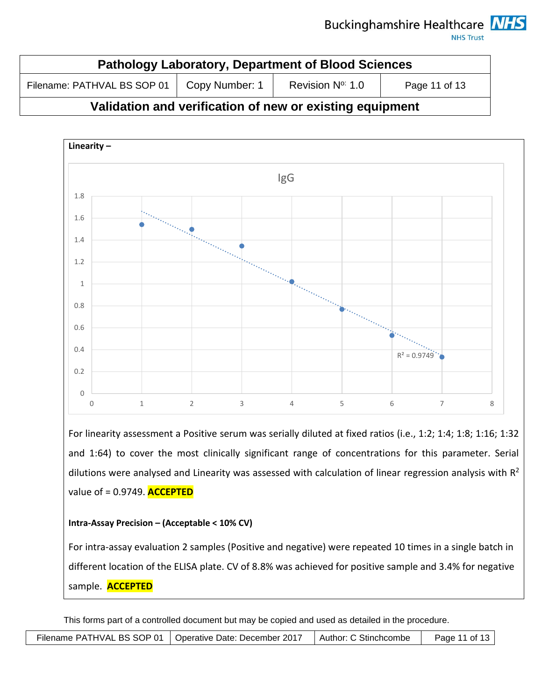**NHS Trust** 

| <b>Pathology Laboratory, Department of Blood Sciences</b> |                |                 |               |  |  |  |  |  |
|-----------------------------------------------------------|----------------|-----------------|---------------|--|--|--|--|--|
| Filename: PATHVAL BS SOP 01                               | Copy Number: 1 | Revision N° 1.0 | Page 11 of 13 |  |  |  |  |  |
|                                                           |                |                 |               |  |  |  |  |  |

# **Validation and verification of new or existing equipment**



For linearity assessment a Positive serum was serially diluted at fixed ratios (i.e., 1:2; 1:4; 1:8; 1:16; 1:32 and 1:64) to cover the most clinically significant range of concentrations for this parameter. Serial dilutions were analysed and Linearity was assessed with calculation of linear regression analysis with  $R^2$ value of = 0.9749. **ACCEPTED**

### **Intra-Assay Precision – (Acceptable < 10% CV)**

For intra-assay evaluation 2 samples (Positive and negative) were repeated 10 times in a single batch in different location of the ELISA plate. CV of 8.8% was achieved for positive sample and 3.4% for negative sample. **ACCEPTED**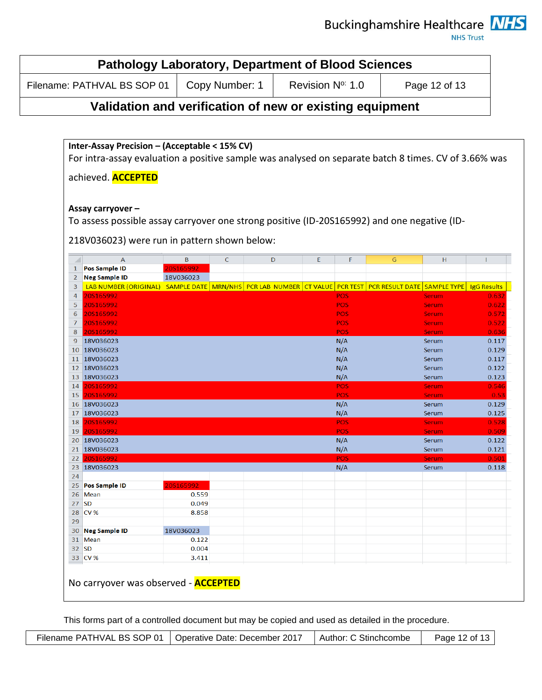**NHS Trust** 

| <b>Pathology Laboratory, Department of Blood Sciences</b> |                |                          |               |  |  |
|-----------------------------------------------------------|----------------|--------------------------|---------------|--|--|
| Filename: PATHVAL BS SOP 01                               | Copy Number: 1 | Revision $N^{\circ}$ 1.0 | Page 12 of 13 |  |  |

## **Validation and verification of new or existing equipment**

**Inter-Assay Precision – (Acceptable < 15% CV)** For intra-assay evaluation a positive sample was analysed on separate batch 8 times. CV of 3.66% was achieved. **ACCEPTED Assay carryover –** To assess possible assay carryover one strong positive (ID-20S165992) and one negative (ID-218V036023) were run in pattern shown below:  $\mathsf B$  $\mathsf C$ D F E G H  $\mathcal{A}$  $\overline{A}$ 1 Pos Sample ID 205165992 2 Neg Sample ID 18V036023 18 LAB NUMBER (ORIGINAL) SAMPLE DATE MRN/NHS PCR LAB NUMBER CT VALUE PCR TEST PCR RESULT DATE SAMPLE TYPE 1gG Results 4 20S165992 **POS** Serum 0.632 5 20S165992 **POS Serum**  $0.622$ 6 20S165992 **POS** 0.572 **Serum**  $\overline{7}$ 20S165992 POS  $0.522$ **Serum** 8 205165992 POS 0.636 Serum  $N/A$ 9 18V036023 Serum 0.117 10 18V036023  $N/A$ Serum 0.129 11 18V036023  $N/A$ 0.117 Serum 12 18V036023  $N/A$ Serum 0.122 13 18V036023  $N/A$ Serum 0.123 14 20S165992 **POS Serum** 0.546 15 205165992 **POS**  $0.5$ Serum  $N/A$ 16 18V036023 **Serum**  $0.129$ 17 18V036023  $N/A$ 0.125 **Serum** 18 20S165992 **POS** Serum 0.528 19 20S165992 **POS** Serum  $0.509$ 20 18V036023  $N/A$ Serum 0.122 21 18V036023  $N/A$ Serum  $0.121$ 22 20S16 Serum 0.50 23 18V036023  $N/A$  $0.118$ Serum 24 25 Pos Sample ID 0.559 26 Mean  $27$  SD 0.049 28 CV % 8.858 29 18V036023 30 Neg Sample ID 31 Mean 0.122 32 SD 0.004 33 CV % 3.411

No carryover was observed - **ACCEPTED**

|  | Filename PATHVAL BS SOP 01   Operative Date: December 2017 | Author: C Stinchcombe | Page 12 of 13 |
|--|------------------------------------------------------------|-----------------------|---------------|
|--|------------------------------------------------------------|-----------------------|---------------|